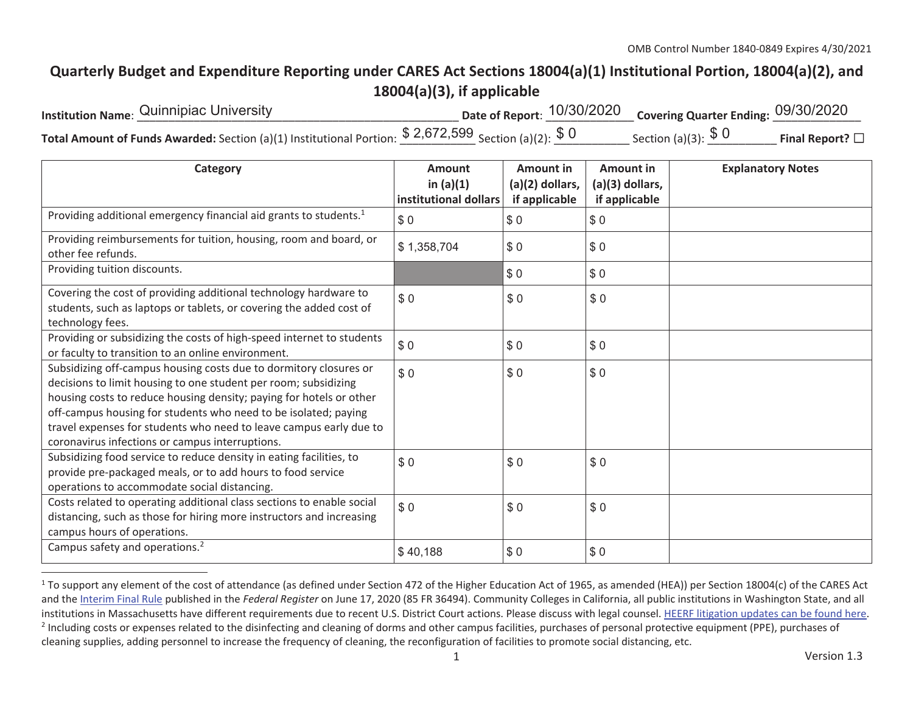## **Quarterly Budget and Expenditure Reporting under CARES Act Sections 18004(a)(1) Institutional Portion, 18004(a)(2), and 18004(a)(3), if applicable**

| Institution Name: Quinnipiac University                                                                                      | Date of Report: <sup>10/30/2020</sup> Covering Quarter Ending: 09/30/2020 |                      |                 |
|------------------------------------------------------------------------------------------------------------------------------|---------------------------------------------------------------------------|----------------------|-----------------|
| <b>Total Amount of Funds Awarded:</b> Section (a)(1) Institutional Portion: $\frac{$ 2,672,599}{\text{Section (a)(2)}}$ \$ 0 |                                                                           | Section (a)(3): $$0$ | Final Report? □ |

| Category                                                                                                                                                                                                                                                                                                                                                                                                | <b>Amount</b><br>in $(a)(1)$<br>institutional dollars | <b>Amount in</b><br>$(a)(2)$ dollars,<br>if applicable | <b>Amount in</b><br>(a)(3) dollars,<br>if applicable | <b>Explanatory Notes</b> |
|---------------------------------------------------------------------------------------------------------------------------------------------------------------------------------------------------------------------------------------------------------------------------------------------------------------------------------------------------------------------------------------------------------|-------------------------------------------------------|--------------------------------------------------------|------------------------------------------------------|--------------------------|
| Providing additional emergency financial aid grants to students. <sup>1</sup>                                                                                                                                                                                                                                                                                                                           | \$0                                                   | \$0                                                    | \$0                                                  |                          |
| Providing reimbursements for tuition, housing, room and board, or<br>other fee refunds.                                                                                                                                                                                                                                                                                                                 | \$1,358,704                                           | \$0                                                    | \$0                                                  |                          |
| Providing tuition discounts.                                                                                                                                                                                                                                                                                                                                                                            |                                                       | \$0                                                    | \$0                                                  |                          |
| Covering the cost of providing additional technology hardware to<br>students, such as laptops or tablets, or covering the added cost of<br>technology fees.                                                                                                                                                                                                                                             | \$0                                                   | \$0                                                    | \$0                                                  |                          |
| Providing or subsidizing the costs of high-speed internet to students<br>or faculty to transition to an online environment.                                                                                                                                                                                                                                                                             | \$0                                                   | \$0                                                    | \$0                                                  |                          |
| Subsidizing off-campus housing costs due to dormitory closures or<br>decisions to limit housing to one student per room; subsidizing<br>housing costs to reduce housing density; paying for hotels or other<br>off-campus housing for students who need to be isolated; paying<br>travel expenses for students who need to leave campus early due to<br>coronavirus infections or campus interruptions. | \$0                                                   | \$0                                                    | \$0                                                  |                          |
| Subsidizing food service to reduce density in eating facilities, to<br>provide pre-packaged meals, or to add hours to food service<br>operations to accommodate social distancing.                                                                                                                                                                                                                      | \$0                                                   | \$0                                                    | \$0                                                  |                          |
| Costs related to operating additional class sections to enable social<br>distancing, such as those for hiring more instructors and increasing<br>campus hours of operations.                                                                                                                                                                                                                            | \$0                                                   | \$0                                                    | \$0                                                  |                          |
| Campus safety and operations. <sup>2</sup>                                                                                                                                                                                                                                                                                                                                                              | \$40,188                                              | \$0                                                    | \$0                                                  |                          |

<sup>&</sup>lt;sup>1</sup> To support any element of the cost of attendance (as defined under Section 472 of the Higher Education Act of 1965, as amended (HEA)) per Section 18004(c) of the CARES Act and the Interim Final Rule published in the *Federal Register* on June 17, 2020 (85 FR 36494). Community Colleges in California, all public institutions in Washington State, and all institutions in Massachusetts have different requirements due to recent U.S. District Court actions. Please discuss with legal counsel. HEERF litigation updates can be found here. <sup>2</sup> Including costs or expenses related to the disinfecting and cleaning of dorms and other campus facilities, purchases of personal protective equipment (PPE), purchases of cleaning supplies, adding personnel to increase the frequency of cleaning, the reconfiguration of facilities to promote social distancing, etc.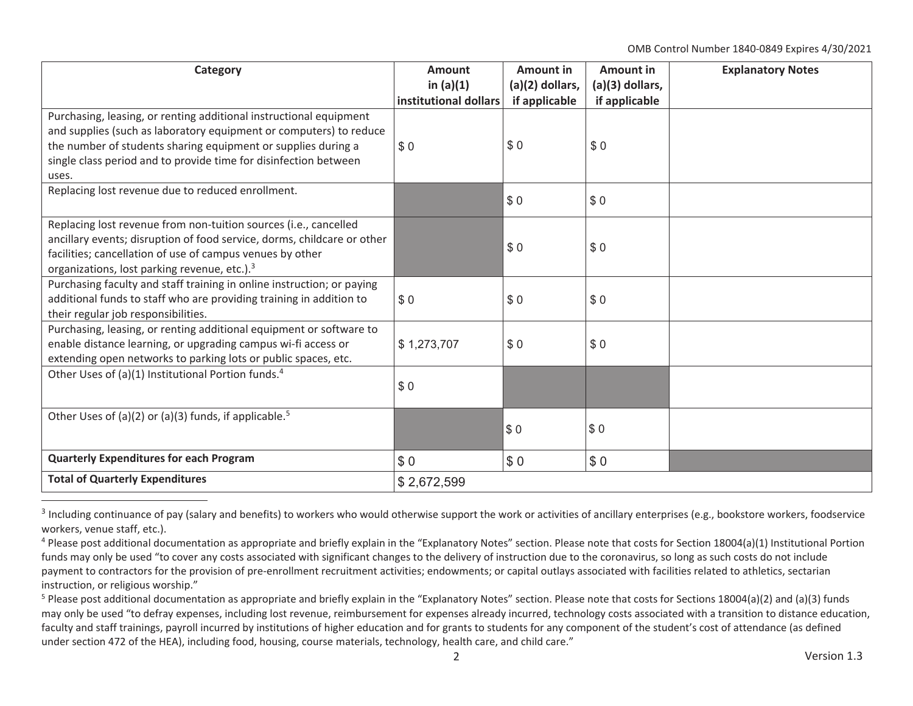OMB Control Number 1840-0849 Expires 4/30/2021

| Category                                                                                                                                                                                                                                                                               | Amount<br>in $(a)(1)$ | Amount in<br>$(a)(2)$ dollars, | Amount in<br>(a)(3) dollars, | <b>Explanatory Notes</b> |
|----------------------------------------------------------------------------------------------------------------------------------------------------------------------------------------------------------------------------------------------------------------------------------------|-----------------------|--------------------------------|------------------------------|--------------------------|
|                                                                                                                                                                                                                                                                                        | institutional dollars | if applicable                  | if applicable                |                          |
| Purchasing, leasing, or renting additional instructional equipment<br>and supplies (such as laboratory equipment or computers) to reduce<br>the number of students sharing equipment or supplies during a<br>single class period and to provide time for disinfection between<br>uses. | \$0                   | \$0                            | \$0                          |                          |
| Replacing lost revenue due to reduced enrollment.                                                                                                                                                                                                                                      |                       | \$0                            | \$0                          |                          |
| Replacing lost revenue from non-tuition sources (i.e., cancelled<br>ancillary events; disruption of food service, dorms, childcare or other<br>facilities; cancellation of use of campus venues by other<br>organizations, lost parking revenue, etc.). <sup>3</sup>                   |                       | \$0                            | \$0                          |                          |
| Purchasing faculty and staff training in online instruction; or paying<br>additional funds to staff who are providing training in addition to<br>their regular job responsibilities.                                                                                                   | \$0                   | \$0                            | \$0                          |                          |
| Purchasing, leasing, or renting additional equipment or software to<br>enable distance learning, or upgrading campus wi-fi access or<br>extending open networks to parking lots or public spaces, etc.                                                                                 | \$1,273,707           | \$0                            | \$0                          |                          |
| Other Uses of (a)(1) Institutional Portion funds. <sup>4</sup>                                                                                                                                                                                                                         | \$0                   |                                |                              |                          |
| Other Uses of (a)(2) or (a)(3) funds, if applicable. <sup>5</sup>                                                                                                                                                                                                                      |                       | \$0                            | \$0                          |                          |
| <b>Quarterly Expenditures for each Program</b>                                                                                                                                                                                                                                         | \$0                   | \$0                            | \$0                          |                          |
| <b>Total of Quarterly Expenditures</b>                                                                                                                                                                                                                                                 | \$2,672,599           |                                |                              |                          |

 $3$  Including continuance of pay (salary and benefits) to workers who would otherwise support the work or activities of ancillary enterprises (e.g., bookstore workers, foodservice workers, venue staff, etc.).

<sup>&</sup>lt;sup>4</sup> Please post additional documentation as appropriate and briefly explain in the "Explanatory Notes" section. Please note that costs for Section 18004(a)(1) Institutional Portion funds may only be used "to cover any costs associated with significant changes to the delivery of instruction due to the coronavirus, so long as such costs do not include payment to contractors for the provision of pre-enrollment recruitment activities; endowments; or capital outlays associated with facilities related to athletics, sectarian instruction, or religious worship."

<sup>&</sup>lt;sup>5</sup> Please post additional documentation as appropriate and briefly explain in the "Explanatory Notes" section. Please note that costs for Sections 18004(a)(2) and (a)(3) funds may only be used "to defray expenses, including lost revenue, reimbursement for expenses already incurred, technology costs associated with a transition to distance education, faculty and staff trainings, payroll incurred by institutions of higher education and for grants to students for any component of the student's cost of attendance (as defined under section 472 of the HEA), including food, housing, course materials, technology, health care, and child care."